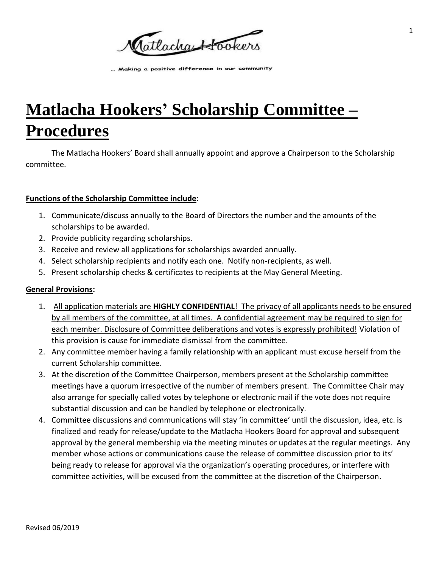Catlacha Hookers

... Making a positive difference in our community

# **Matlacha Hookers' Scholarship Committee – Procedures**

The Matlacha Hookers' Board shall annually appoint and approve a Chairperson to the Scholarship committee.

### **Functions of the Scholarship Committee include**:

- 1. Communicate/discuss annually to the Board of Directors the number and the amounts of the scholarships to be awarded.
- 2. Provide publicity regarding scholarships.
- 3. Receive and review all applications for scholarships awarded annually.
- 4. Select scholarship recipients and notify each one. Notify non-recipients, as well.
- 5. Present scholarship checks & certificates to recipients at the May General Meeting.

# **General Provisions:**

- 1. All application materials are **HIGHLY CONFIDENTIAL**! The privacy of all applicants needs to be ensured by all members of the committee, at all times. A confidential agreement may be required to sign for each member. Disclosure of Committee deliberations and votes is expressly prohibited! Violation of this provision is cause for immediate dismissal from the committee.
- 2. Any committee member having a family relationship with an applicant must excuse herself from the current Scholarship committee.
- 3. At the discretion of the Committee Chairperson, members present at the Scholarship committee meetings have a quorum irrespective of the number of members present. The Committee Chair may also arrange for specially called votes by telephone or electronic mail if the vote does not require substantial discussion and can be handled by telephone or electronically.
- 4. Committee discussions and communications will stay 'in committee' until the discussion, idea, etc. is finalized and ready for release/update to the Matlacha Hookers Board for approval and subsequent approval by the general membership via the meeting minutes or updates at the regular meetings. Any member whose actions or communications cause the release of committee discussion prior to its' being ready to release for approval via the organization's operating procedures, or interfere with committee activities, will be excused from the committee at the discretion of the Chairperson.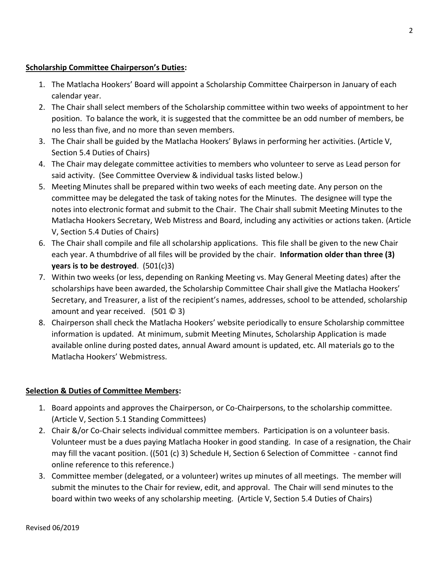#### **Scholarship Committee Chairperson's Duties:**

- 1. The Matlacha Hookers' Board will appoint a Scholarship Committee Chairperson in January of each calendar year.
- 2. The Chair shall select members of the Scholarship committee within two weeks of appointment to her position. To balance the work, it is suggested that the committee be an odd number of members, be no less than five, and no more than seven members.
- 3. The Chair shall be guided by the Matlacha Hookers' Bylaws in performing her activities. (Article V, Section 5.4 Duties of Chairs)
- 4. The Chair may delegate committee activities to members who volunteer to serve as Lead person for said activity. (See Committee Overview & individual tasks listed below.)
- 5. Meeting Minutes shall be prepared within two weeks of each meeting date. Any person on the committee may be delegated the task of taking notes for the Minutes. The designee will type the notes into electronic format and submit to the Chair. The Chair shall submit Meeting Minutes to the Matlacha Hookers Secretary, Web Mistress and Board, including any activities or actions taken. (Article V, Section 5.4 Duties of Chairs)
- 6. The Chair shall compile and file all scholarship applications. This file shall be given to the new Chair each year. A thumbdrive of all files will be provided by the chair. **Information older than three (3) years is to be destroyed**. (501(c)3)
- 7. Within two weeks (or less, depending on Ranking Meeting vs. May General Meeting dates) after the scholarships have been awarded, the Scholarship Committee Chair shall give the Matlacha Hookers' Secretary, and Treasurer, a list of the recipient's names, addresses, school to be attended, scholarship amount and year received. (501 © 3)
- 8. Chairperson shall check the Matlacha Hookers' website periodically to ensure Scholarship committee information is updated. At minimum, submit Meeting Minutes, Scholarship Application is made available online during posted dates, annual Award amount is updated, etc. All materials go to the Matlacha Hookers' Webmistress.

# **Selection & Duties of Committee Members:**

- 1. Board appoints and approves the Chairperson, or Co-Chairpersons, to the scholarship committee. (Article V, Section 5.1 Standing Committees)
- 2. Chair &/or Co-Chair selects individual committee members. Participation is on a volunteer basis. Volunteer must be a dues paying Matlacha Hooker in good standing. In case of a resignation, the Chair may fill the vacant position. ((501 (c) 3) Schedule H, Section 6 Selection of Committee - cannot find online reference to this reference.)
- 3. Committee member (delegated, or a volunteer) writes up minutes of all meetings. The member will submit the minutes to the Chair for review, edit, and approval. The Chair will send minutes to the board within two weeks of any scholarship meeting. (Article V, Section 5.4 Duties of Chairs)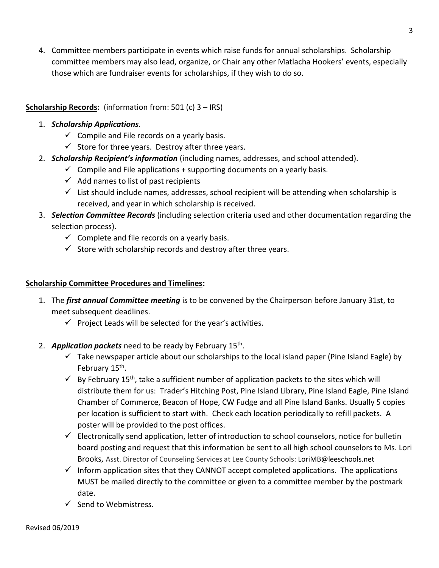4. Committee members participate in events which raise funds for annual scholarships. Scholarship committee members may also lead, organize, or Chair any other Matlacha Hookers' events, especially those which are fundraiser events for scholarships, if they wish to do so.

## **Scholarship Records:** (information from: 501 (c) 3 – IRS)

#### 1. *Scholarship Applications*.

- $\checkmark$  Compile and File records on a yearly basis.
- $\checkmark$  Store for three years. Destroy after three years.
- 2. *Scholarship Recipient's information* (including names, addresses, and school attended).
	- $\checkmark$  Compile and File applications + supporting documents on a yearly basis.
	- $\checkmark$  Add names to list of past recipients
	- $\checkmark$  List should include names, addresses, school recipient will be attending when scholarship is received, and year in which scholarship is received.
- 3. *Selection Committee Records* (including selection criteria used and other documentation regarding the selection process).
	- $\checkmark$  Complete and file records on a yearly basis.
	- $\checkmark$  Store with scholarship records and destroy after three years.

#### **Scholarship Committee Procedures and Timelines:**

- 1. The *first annual Committee meeting* is to be convened by the Chairperson before January 31st, to meet subsequent deadlines.
	- $\checkmark$  Project Leads will be selected for the year's activities.
- 2. **Application packets** need to be ready by February 15<sup>th</sup>.
	- $\checkmark$  Take newspaper article about our scholarships to the local island paper (Pine Island Eagle) by February 15<sup>th</sup>.
	- $\checkmark$  By February 15<sup>th</sup>, take a sufficient number of application packets to the sites which will distribute them for us: Trader's Hitching Post, Pine Island Library, Pine Island Eagle, Pine Island Chamber of Commerce, Beacon of Hope, CW Fudge and all Pine Island Banks. Usually 5 copies per location is sufficient to start with. Check each location periodically to refill packets. A poster will be provided to the post offices.
	- $\checkmark$  Electronically send application, letter of introduction to school counselors, notice for bulletin board posting and request that this information be sent to all high school counselors to Ms. Lori Brooks, Asst. Director of Counseling Services at Lee County Schools[: LoriMB@leeschools.net](mailto:LoriMB@leeschools.net)
	- $\checkmark$  Inform application sites that they CANNOT accept completed applications. The applications MUST be mailed directly to the committee or given to a committee member by the postmark date.
	- $\checkmark$  Send to Webmistress.

3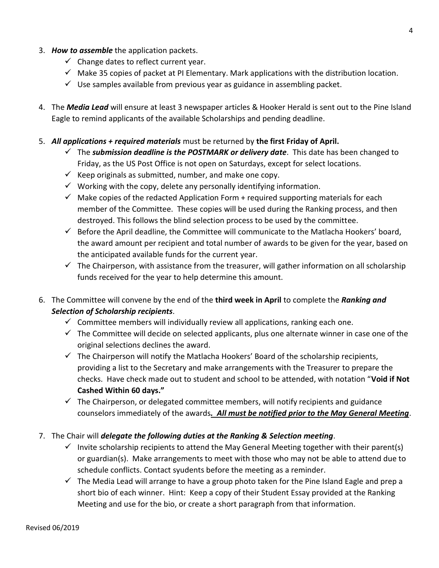- 3. *How to assemble* the application packets.
	- $\checkmark$  Change dates to reflect current year.
	- $\checkmark$  Make 35 copies of packet at PI Elementary. Mark applications with the distribution location.
	- $\checkmark$  Use samples available from previous year as guidance in assembling packet.
- 4. The *Media Lead* will ensure at least 3 newspaper articles & Hooker Herald is sent out to the Pine Island Eagle to remind applicants of the available Scholarships and pending deadline.
- 5. *All applications + required materials* must be returned by **the first Friday of April.**
	- $\checkmark$  The *submission deadline is the POSTMARK or delivery date*. This date has been changed to Friday, as the US Post Office is not open on Saturdays, except for select locations.
	- $\checkmark$  Keep originals as submitted, number, and make one copy.
	- $\checkmark$  Working with the copy, delete any personally identifying information.
	- $\checkmark$  Make copies of the redacted Application Form + required supporting materials for each member of the Committee. These copies will be used during the Ranking process, and then destroyed. This follows the blind selection process to be used by the committee.
	- $\checkmark$  Before the April deadline, the Committee will communicate to the Matlacha Hookers' board, the award amount per recipient and total number of awards to be given for the year, based on the anticipated available funds for the current year.
	- $\checkmark$  The Chairperson, with assistance from the treasurer, will gather information on all scholarship funds received for the year to help determine this amount.
- 6. The Committee will convene by the end of the **third week in April** to complete the *Ranking and Selection of Scholarship recipients*.
	- $\checkmark$  Committee members will individually review all applications, ranking each one.
	- $\checkmark$  The Committee will decide on selected applicants, plus one alternate winner in case one of the original selections declines the award.
	- $\checkmark$  The Chairperson will notify the Matlacha Hookers' Board of the scholarship recipients, providing a list to the Secretary and make arrangements with the Treasurer to prepare the checks. Have check made out to student and school to be attended, with notation "**Void if Not Cashed Within 60 days."**
	- $\checkmark$  The Chairperson, or delegated committee members, will notify recipients and guidance counselors immediately of the awards*. All must be notified prior to the May General Meeting*.
- 7. The Chair will *delegate the following duties at the Ranking & Selection meeting*.
	- $\checkmark$  Invite scholarship recipients to attend the May General Meeting together with their parent(s) or guardian(s). Make arrangements to meet with those who may not be able to attend due to schedule conflicts. Contact syudents before the meeting as a reminder.
	- $\checkmark$  The Media Lead will arrange to have a group photo taken for the Pine Island Eagle and prep a short bio of each winner. Hint: Keep a copy of their Student Essay provided at the Ranking Meeting and use for the bio, or create a short paragraph from that information.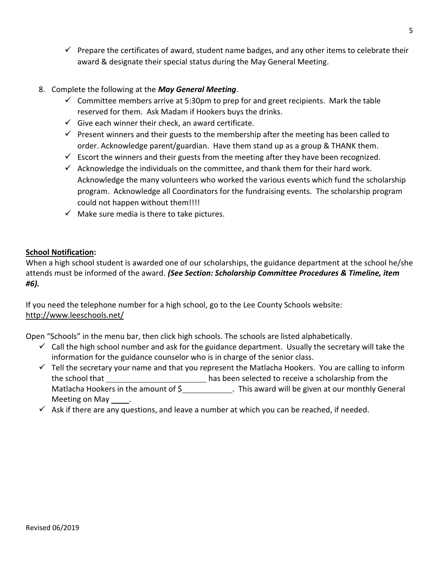$\checkmark$  Prepare the certificates of award, student name badges, and any other items to celebrate their award & designate their special status during the May General Meeting.

# 8. Complete the following at the *May General Meeting*.

- $\checkmark$  Committee members arrive at 5:30pm to prep for and greet recipients. Mark the table reserved for them. Ask Madam if Hookers buys the drinks.
- $\checkmark$  Give each winner their check, an award certificate.
- $\checkmark$  Present winners and their guests to the membership after the meeting has been called to order. Acknowledge parent/guardian. Have them stand up as a group & THANK them.
- $\checkmark$  Escort the winners and their guests from the meeting after they have been recognized.
- $\checkmark$  Acknowledge the individuals on the committee, and thank them for their hard work. Acknowledge the many volunteers who worked the various events which fund the scholarship program. Acknowledge all Coordinators for the fundraising events. The scholarship program could not happen without them!!!!
- $\checkmark$  Make sure media is there to take pictures.

# **School Notification:**

When a high school student is awarded one of our scholarships, the guidance department at the school he/she attends must be informed of the award. *(See Section: Scholarship Committee Procedures & Timeline, item #6).*

If you need the telephone number for a high school, go to the Lee County Schools website: <http://www.leeschools.net/>

Open "Schools" in the menu bar, then click high schools. The schools are listed alphabetically.

- $\checkmark$  Call the high school number and ask for the guidance department. Usually the secretary will take the information for the guidance counselor who is in charge of the senior class.
- $\checkmark$  Tell the secretary your name and that you represent the Matlacha Hookers. You are calling to inform the school that \_\_\_\_\_\_\_\_\_\_\_\_\_\_\_\_\_\_\_\_\_\_\_\_\_\_\_\_\_has been selected to receive a scholarship from the Matlacha Hookers in the amount of \$\_\_\_\_\_\_\_\_\_\_\_\_\_\_. This award will be given at our monthly General Meeting on May .
- $\checkmark$  Ask if there are any questions, and leave a number at which you can be reached, if needed.